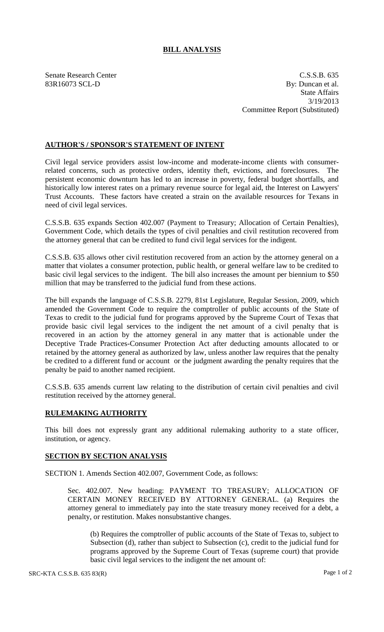## **BILL ANALYSIS**

Senate Research Center C.S.S.B. 635 83R16073 SCL-D By: Duncan et al. State Affairs 3/19/2013 Committee Report (Substituted)

## **AUTHOR'S / SPONSOR'S STATEMENT OF INTENT**

Civil legal service providers assist low-income and moderate-income clients with consumerrelated concerns, such as protective orders, identity theft, evictions, and foreclosures. The persistent economic downturn has led to an increase in poverty, federal budget shortfalls, and historically low interest rates on a primary revenue source for legal aid, the Interest on Lawyers' Trust Accounts. These factors have created a strain on the available resources for Texans in need of civil legal services.

C.S.S.B. 635 expands Section 402.007 (Payment to Treasury; Allocation of Certain Penalties), Government Code, which details the types of civil penalties and civil restitution recovered from the attorney general that can be credited to fund civil legal services for the indigent.

C.S.S.B. 635 allows other civil restitution recovered from an action by the attorney general on a matter that violates a consumer protection, public health, or general welfare law to be credited to basic civil legal services to the indigent. The bill also increases the amount per biennium to \$50 million that may be transferred to the judicial fund from these actions.

The bill expands the language of C.S.S.B. 2279, 81st Legislature, Regular Session, 2009, which amended the Government Code to require the comptroller of public accounts of the State of Texas to credit to the judicial fund for programs approved by the Supreme Court of Texas that provide basic civil legal services to the indigent the net amount of a civil penalty that is recovered in an action by the attorney general in any matter that is actionable under the Deceptive Trade Practices-Consumer Protection Act after deducting amounts allocated to or retained by the attorney general as authorized by law, unless another law requires that the penalty be credited to a different fund or account or the judgment awarding the penalty requires that the penalty be paid to another named recipient.

C.S.S.B. 635 amends current law relating to the distribution of certain civil penalties and civil restitution received by the attorney general.

## **RULEMAKING AUTHORITY**

This bill does not expressly grant any additional rulemaking authority to a state officer, institution, or agency.

## **SECTION BY SECTION ANALYSIS**

SECTION 1. Amends Section 402.007, Government Code, as follows:

Sec. 402.007. New heading: PAYMENT TO TREASURY; ALLOCATION OF CERTAIN MONEY RECEIVED BY ATTORNEY GENERAL. (a) Requires the attorney general to immediately pay into the state treasury money received for a debt, a penalty, or restitution. Makes nonsubstantive changes.

(b) Requires the comptroller of public accounts of the State of Texas to, subject to Subsection (d), rather than subject to Subsection (c), credit to the judicial fund for programs approved by the Supreme Court of Texas (supreme court) that provide basic civil legal services to the indigent the net amount of: